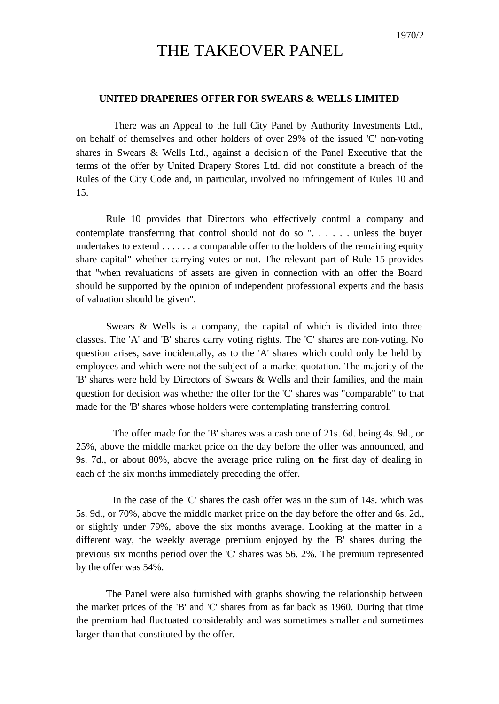## THE TAKEOVER PANEL

## **UNITED DRAPERIES OFFER FOR SWEARS & WELLS LIMITED**

There was an Appeal to the full City Panel by Authority Investments Ltd., on behalf of themselves and other holders of over 29% of the issued 'C' non-voting shares in Swears & Wells Ltd., against a decision of the Panel Executive that the terms of the offer by United Drapery Stores Ltd. did not constitute a breach of the Rules of the City Code and, in particular, involved no infringement of Rules 10 and 15.

Rule 10 provides that Directors who effectively control a company and contemplate transferring that control should not do so ". . . . . . unless the buyer undertakes to extend . . . . . . a comparable offer to the holders of the remaining equity share capital" whether carrying votes or not. The relevant part of Rule 15 provides that "when revaluations of assets are given in connection with an offer the Board should be supported by the opinion of independent professional experts and the basis of valuation should be given".

Swears & Wells is a company, the capital of which is divided into three classes. The 'A' and 'B' shares carry voting rights. The 'C' shares are non-voting. No question arises, save incidentally, as to the 'A' shares which could only be held by employees and which were not the subject of a market quotation. The majority of the 'B' shares were held by Directors of Swears & Wells and their families, and the main question for decision was whether the offer for the 'C' shares was "comparable" to that made for the 'B' shares whose holders were contemplating transferring control.

The offer made for the 'B' shares was a cash one of 21s. 6d. being 4s. 9d., or 25%, above the middle market price on the day before the offer was announced, and 9s. 7d., or about 80%, above the average price ruling on the first day of dealing in each of the six months immediately preceding the offer.

In the case of the 'C' shares the cash offer was in the sum of 14s. which was 5s. 9d., or 70%, above the middle market price on the day before the offer and 6s. 2d., or slightly under 79%, above the six months average. Looking at the matter in a different way, the weekly average premium enjoyed by the 'B' shares during the previous six months period over the 'C' shares was 56. 2%. The premium represented by the offer was 54%.

The Panel were also furnished with graphs showing the relationship between the market prices of the 'B' and 'C' shares from as far back as 1960. During that time the premium had fluctuated considerably and was sometimes smaller and sometimes larger than that constituted by the offer.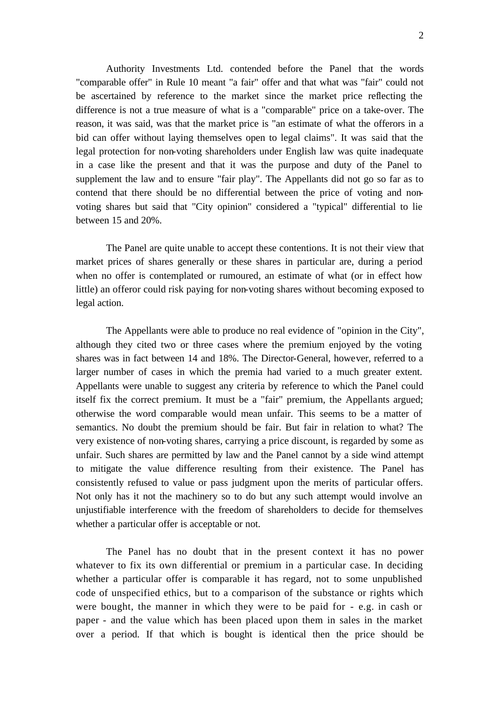Authority Investments Ltd. contended before the Panel that the words "comparable offer" in Rule 10 meant "a fair" offer and that what was "fair" could not be ascertained by reference to the market since the market price reflecting the difference is not a true measure of what is a "comparable" price on a take-over. The reason, it was said, was that the market price is "an estimate of what the offerors in a bid can offer without laying themselves open to legal claims". It was said that the legal protection for non-voting shareholders under English law was quite inadequate in a case like the present and that it was the purpose and duty of the Panel to supplement the law and to ensure "fair play". The Appellants did not go so far as to contend that there should be no differential between the price of voting and nonvoting shares but said that "City opinion" considered a "typical" differential to lie between 15 and 20%.

The Panel are quite unable to accept these contentions. It is not their view that market prices of shares generally or these shares in particular are, during a period when no offer is contemplated or rumoured, an estimate of what (or in effect how little) an offeror could risk paying for non-voting shares without becoming exposed to legal action.

The Appellants were able to produce no real evidence of "opinion in the City", although they cited two or three cases where the premium enjoyed by the voting shares was in fact between 14 and 18%. The Director-General, however, referred to a larger number of cases in which the premia had varied to a much greater extent. Appellants were unable to suggest any criteria by reference to which the Panel could itself fix the correct premium. It must be a "fair" premium, the Appellants argued; otherwise the word comparable would mean unfair. This seems to be a matter of semantics. No doubt the premium should be fair. But fair in relation to what? The very existence of non-voting shares, carrying a price discount, is regarded by some as unfair. Such shares are permitted by law and the Panel cannot by a side wind attempt to mitigate the value difference resulting from their existence. The Panel has consistently refused to value or pass judgment upon the merits of particular offers. Not only has it not the machinery so to do but any such attempt would involve an unjustifiable interference with the freedom of shareholders to decide for themselves whether a particular offer is acceptable or not.

The Panel has no doubt that in the present context it has no power whatever to fix its own differential or premium in a particular case. In deciding whether a particular offer is comparable it has regard, not to some unpublished code of unspecified ethics, but to a comparison of the substance or rights which were bought, the manner in which they were to be paid for - e.g. in cash or paper - and the value which has been placed upon them in sales in the market over a period. If that which is bought is identical then the price should be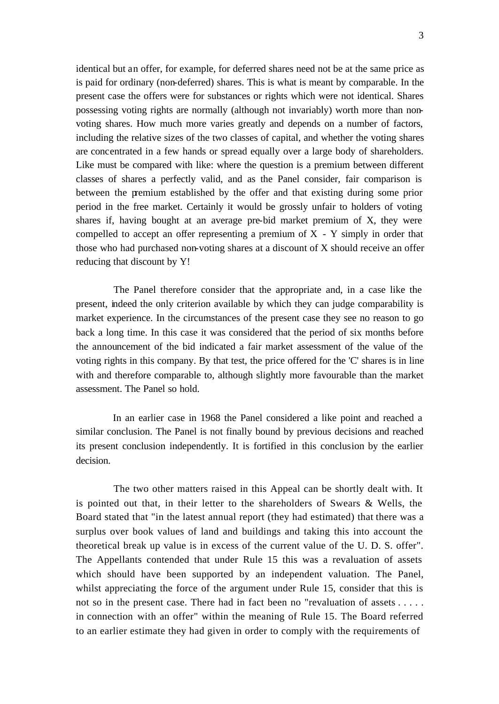identical but an offer, for example, for deferred shares need not be at the same price as is paid for ordinary (non-deferred) shares. This is what is meant by comparable. In the present case the offers were for substances or rights which were not identical. Shares possessing voting rights are normally (although not invariably) worth more than nonvoting shares. How much more varies greatly and depends on a number of factors, including the relative sizes of the two classes of capital, and whether the voting shares are concentrated in a few hands or spread equally over a large body of shareholders. Like must be compared with like: where the question is a premium between different classes of shares a perfectly valid, and as the Panel consider, fair comparison is between the premium established by the offer and that existing during some prior period in the free market. Certainly it would be grossly unfair to holders of voting shares if, having bought at an average pre-bid market premium of X, they were compelled to accept an offer representing a premium of  $X - Y$  simply in order that those who had purchased non-voting shares at a discount of X should receive an offer reducing that discount by Y!

The Panel therefore consider that the appropriate and, in a case like the present, indeed the only criterion available by which they can judge comparability is market experience. In the circumstances of the present case they see no reason to go back a long time. In this case it was considered that the period of six months before the announcement of the bid indicated a fair market assessment of the value of the voting rights in this company. By that test, the price offered for the 'C' shares is in line with and therefore comparable to, although slightly more favourable than the market assessment. The Panel so hold.

In an earlier case in 1968 the Panel considered a like point and reached a similar conclusion. The Panel is not finally bound by previous decisions and reached its present conclusion independently. It is fortified in this conclusion by the earlier decision.

The two other matters raised in this Appeal can be shortly dealt with. It is pointed out that, in their letter to the shareholders of Swears & Wells, the Board stated that "in the latest annual report (they had estimated) that there was a surplus over book values of land and buildings and taking this into account the theoretical break up value is in excess of the current value of the U. D. S. offer". The Appellants contended that under Rule 15 this was a revaluation of assets which should have been supported by an independent valuation. The Panel, whilst appreciating the force of the argument under Rule 15, consider that this is not so in the present case. There had in fact been no "revaluation of assets . . . . . in connection with an offer" within the meaning of Rule 15. The Board referred to an earlier estimate they had given in order to comply with the requirements of